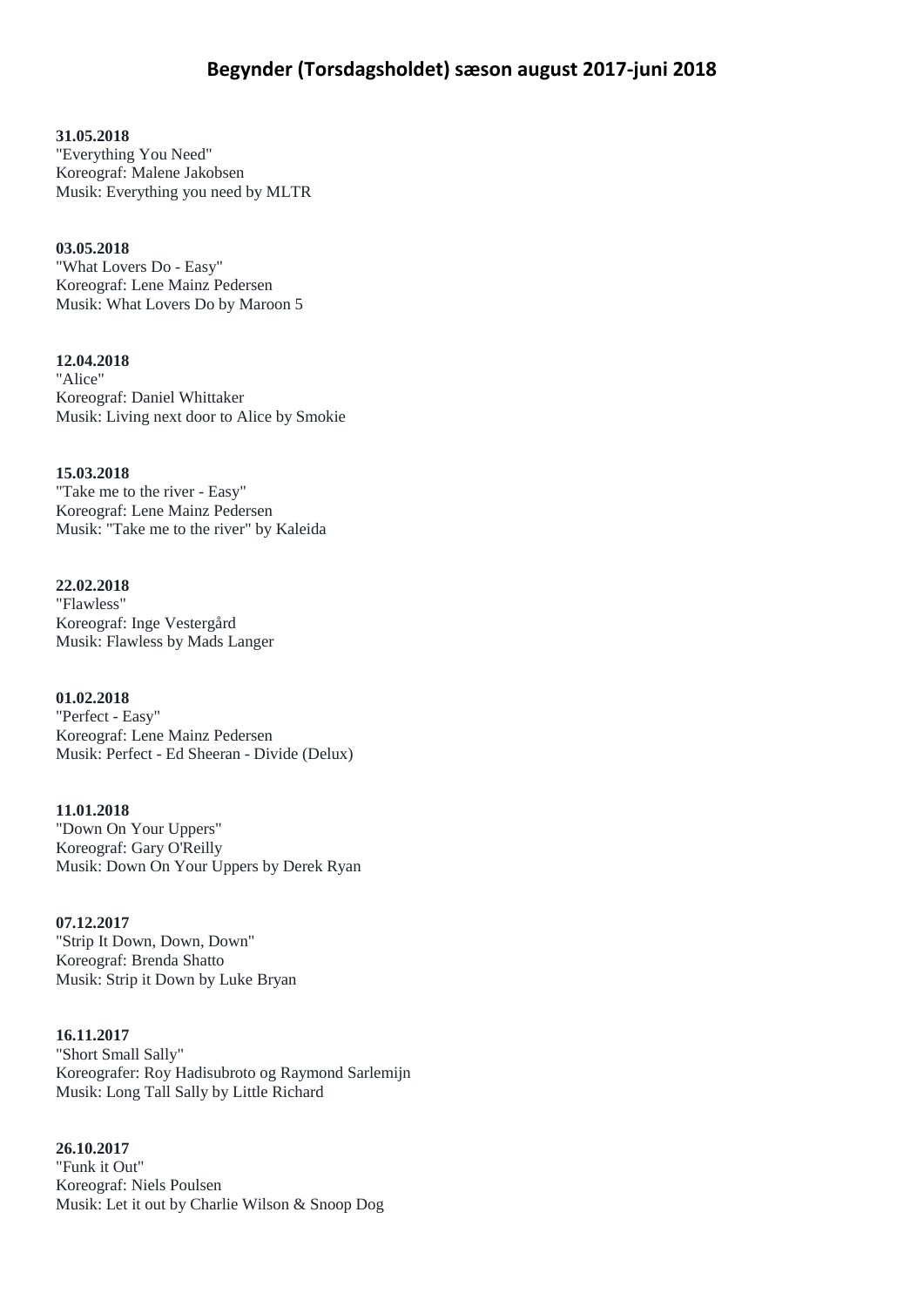**31.05.2018**

"Everything You Need" Koreograf: Malene Jakobsen Musik: Everything you need by MLTR

**03.05.2018** "What Lovers Do - Easy" Koreograf: Lene Mainz Pedersen Musik: What Lovers Do by Maroon 5

**12.04.2018** "Alice" Koreograf: Daniel Whittaker Musik: Living next door to Alice by Smokie

**15.03.2018** "Take me to the river - Easy" Koreograf: Lene Mainz Pedersen Musik: "Take me to the river" by Kaleida

**22.02.2018** "Flawless" Koreograf: Inge Vestergård Musik: Flawless by Mads Langer

**01.02.2018** "Perfect - Easy" Koreograf: Lene Mainz Pedersen Musik: Perfect - Ed Sheeran - Divide (Delux)

**11.01.2018** "Down On Your Uppers" Koreograf: Gary O'Reilly Musik: Down On Your Uppers by Derek Ryan

**07.12.2017** "Strip It Down, Down, Down" Koreograf: Brenda Shatto Musik: Strip it Down by Luke Bryan

**16.11.2017** "Short Small Sally" Koreografer: Roy Hadisubroto og Raymond Sarlemijn Musik: Long Tall Sally by Little Richard

**26.10.2017** "Funk it Out" Koreograf: Niels Poulsen Musik: Let it out by Charlie Wilson & Snoop Dog